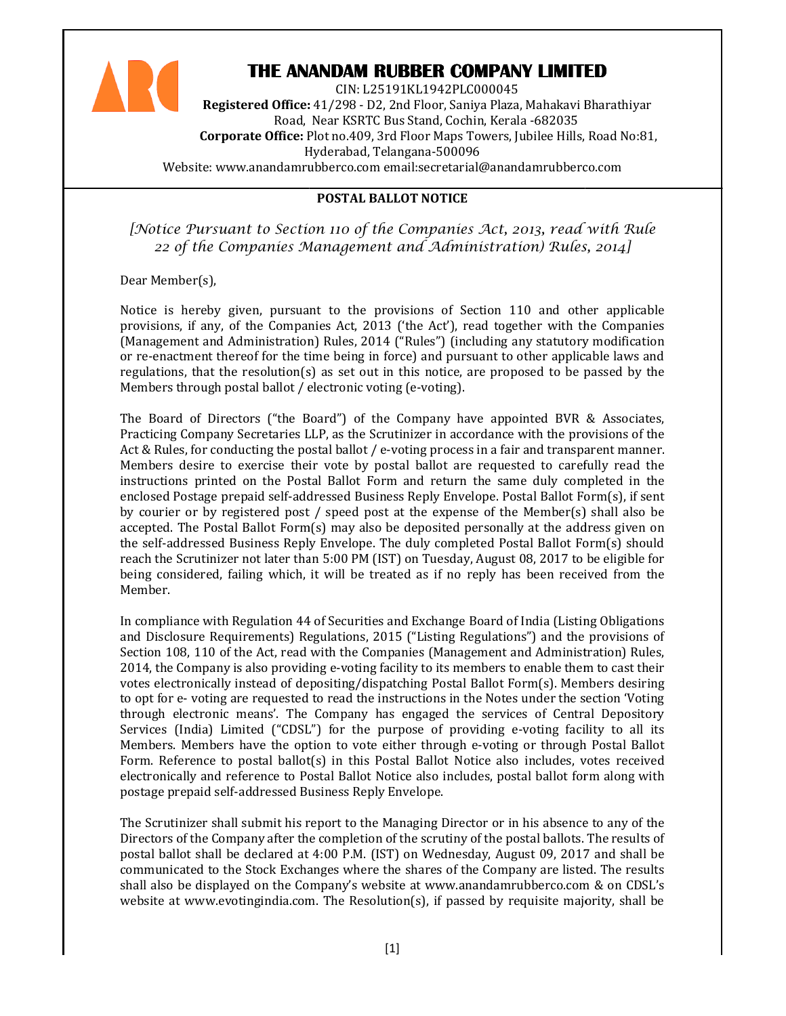

# THE ANANDAM RUBBER COMPANY LIMITED

Registered Office: 41/298 - D2, 2nd Floor, Saniya Plaza, Mahakavi Bharathiyar Road, Near KSRTC Bus Stand, Cochin, Kerala -682035 **Corporate Office:** Plot no.409, 3rd Floor Maps Towers, Jubilee Hills, Road No:81, Hyderabad, Telangana Telangana-500096 Website: www.anandamrubberco.com email:secretarial@anandamrubberco.com CIN: L25191KL1942PLC000045

POSTAL BALLOT NOTICE

[Notice Pursuant to Section 110 of the Companies Act, 2013, read with Rule<br>[22 of the Companies Management and Administration) Rules, 2014 22 of the Companies Management and Administration) Rules, 2014]

Dear Member(s),

Notice is hereby given, pursuant to the provisions of Section 110 and other applicable provisions, if any, of the Companies Act, 2013 ('the Act'), read together with the Companies (Management and Administration) Rules, 2014 ("Rules") (including any statutory modification or re-enactment thereof for the time being in force) and pursuant to other in applicable laws and regulations, that the resolution(s) as set out in this notice, are proposed to be passed by the Members through postal ballot / electronic voting (e-voting). 2014 ("Rules") (including any statutory modification<br>g in force) and pursuant to other applicable laws and<br>out in this notice, are proposed to be passed by the<br>voting (e-voting).<br>f the Company have appointed BVR & Associat

The Board of Directors ("the Board") of the Company have appointed BVR Practicing Company Secretaries LLP, as the Scrutinizer in accordance with the provisions of the Act & Rules, for conducting the postal ballot / e-voting process in a fair and transparent manner. Members desire to exercise their vote by postal ballot are requested to carefully read the instructions printed on the Postal Ballot Form and return the same duly completed i enclosed Postage prepaid self-addressed Business Reply Envelope. Postal Ballot Form(s), if sent enclosed Postage prepaid self-addressed Business Reply Envelope. Postal Ballot Form(s), if sent<br>by courier or by registered post / speed post at the expense of the Member(s) shall also be accepted. The Postal Ballot Form(s) may also be deposited personally at the address given on by courier or by registered post / speed post at the expense of the Member(s) shall also be<br>accepted. The Postal Ballot Form(s) may also be deposited personally at the address given on<br>the self-addressed Business Reply Env the self-addressed Business Reply Envelope. The duly completed Postal Ballot Form(s) should<br>reach the Scrutinizer not later than 5:00 PM (IST) on Tuesday, August 08, 2017 to be eligible for being considered, failing which, it will be treated as if no reply has been received from the Member. it tinizer in accordance with the provisions of the<br>voting process in a fair and transparent manner.<br>stal ballot are requested to carefully read the<br>n and return the same duly completed in the

In compliance with Regulation 44 of Securities and Exchange Board of India (Listing Obligations and Disclosure Requirements) Regulations, 2015 ("Listing Regulations") and the provisions o Section 108, 110 of the Act, read with the Companies (Management and Administration) Rules, Section 108, 110 of the Act, read with the Companies (Management and Administration) Rules,<br>2014, the Company is also providing e-voting facility to its members to enable them to cast their votes electronically instead of depositing/dispatching Postal Ballot Form(s). Members desiring to opt for e- voting are requested to read the instructions in the Notes under the section 'Voting through electronic means'. The Company through has engaged the services of Central Depository Services (India) Limited ("CDSL") for the purpose of providing e-voting facility to all its Members. Members have the option to vote either through e e-voting or through Postal Ballot Form. Reference to postal ballot(s) in this Postal Ballot Notice also includes, votes received electronically and reference to Postal Ballot Notice also includes, postal ballot form along with postage prepaid self-addressed Business Reply Envelope. be treated as if no reply has been received from the<br>urities and Exchange Board of India (Listing Obligations<br>ons, 2015 ("Listing Regulations") and the provisions of is members to enable them to cast their<br>ostal Ballot Form(s). Members desiring<br>is in the Notes under the section 'Voting<br>d the services of Central Depository<br>providing e-voting facility to all its<br>ough e-voting or through

postage prepaid self-addressed Business Reply Envelope.<br>The Scrutinizer shall submit his report to the Managing Director or in his absence to Directors of the Company after the completion of the scrutiny of the postal ballots. The results of postal ballot shall be declared at 4:00 P.M. (IST) on Wednesday, August 09, 2017 and shall be communicated to the Stock Exchanges where the shares of the Company are listed. The results shall also be displayed on the Company's website at www.anandamrubberco.com & on CDSL's website at www.evotingindia.com. The Resolution(s), if passed by requisite majority, shall be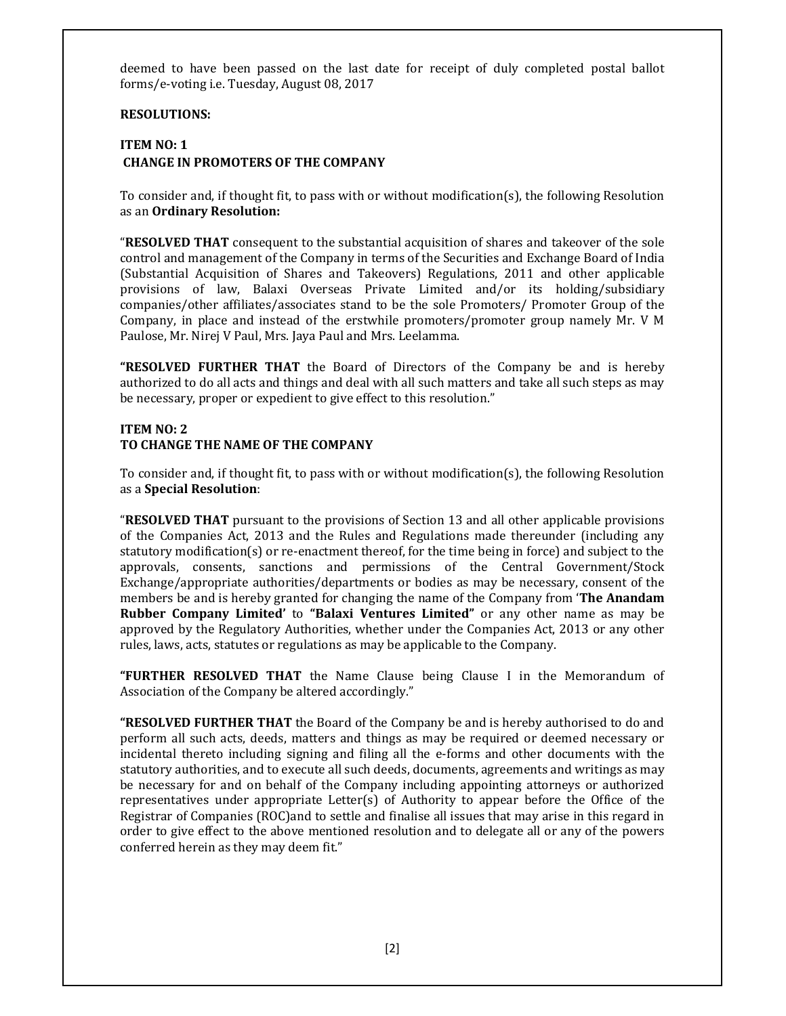deemed to have been passed on the last date for receipt of duly completed postal ballot forms/e-voting i.e. Tuesday, August 08, 2017

## RESOLUTIONS:

# ITEM NO: 1 CHANGE IN PROMOTERS OF THE COMPANY

To consider and, if thought fit, to pass with or without modification(s), the following Resolution as an Ordinary Resolution:

**"RESOLVED THAT** consequent to the substantial acquisition of shares and takeover of the sole control and management of the Company in terms of the Securities and Exchange Board of India (Substantial Acquisition of Shares and Takeovers) Regulations, 2011 and other applicable provisions of law, Balaxi Overseas Private Limited and/or its holding/subsidiary companies/other affiliates/associates stand to be the sole Promoters/ Promoter Group of the Company, in place and instead of the erstwhile promoters/promoter group namely Mr. V M Paulose, Mr. Nirej V Paul, Mrs. Jaya Paul and Mrs. Leelamma.

"RESOLVED FURTHER THAT the Board of Directors of the Company be and is hereby authorized to do all acts and things and deal with all such matters and take all such steps as may be necessary, proper or expedient to give effect to this resolution."

#### ITEM NO: 2 TO CHANGE THE NAME OF THE COMPANY

To consider and, if thought fit, to pass with or without modification(s), the following Resolution as a Special Resolution:

"RESOLVED THAT pursuant to the provisions of Section 13 and all other applicable provisions of the Companies Act, 2013 and the Rules and Regulations made thereunder (including any statutory modification(s) or re-enactment thereof, for the time being in force) and subject to the approvals, consents, sanctions and permissions of the Central Government/Stock Exchange/appropriate authorities/departments or bodies as may be necessary, consent of the members be and is hereby granted for changing the name of the Company from 'The Anandam Rubber Company Limited' to "Balaxi Ventures Limited" or any other name as may be approved by the Regulatory Authorities, whether under the Companies Act, 2013 or any other rules, laws, acts, statutes or regulations as may be applicable to the Company.

"FURTHER RESOLVED THAT the Name Clause being Clause I in the Memorandum of Association of the Company be altered accordingly."

**"RESOLVED FURTHER THAT** the Board of the Company be and is hereby authorised to do and perform all such acts, deeds, matters and things as may be required or deemed necessary or incidental thereto including signing and filing all the e-forms and other documents with the statutory authorities, and to execute all such deeds, documents, agreements and writings as may be necessary for and on behalf of the Company including appointing attorneys or authorized representatives under appropriate Letter(s) of Authority to appear before the Office of the Registrar of Companies (ROC)and to settle and finalise all issues that may arise in this regard in order to give effect to the above mentioned resolution and to delegate all or any of the powers conferred herein as they may deem fit."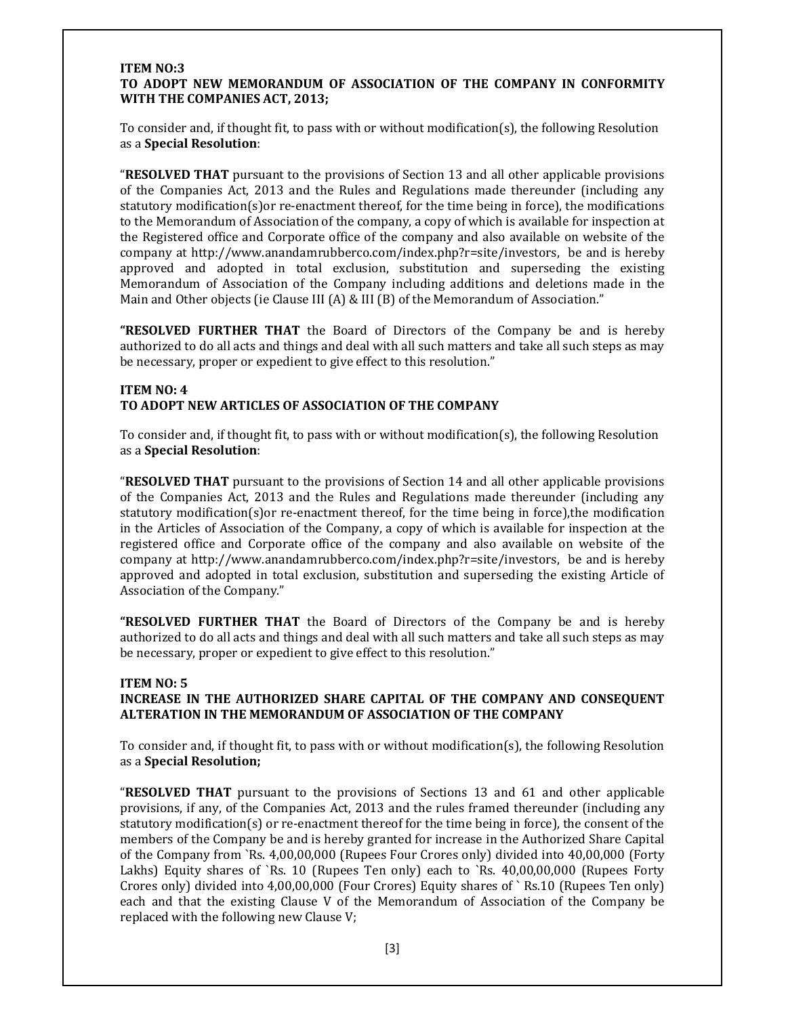#### ITEM NO:3 TO ADOPT NEW MEMORANDUM OF ASSOCIATION OF THE COMPANY IN CONFORMITY WITH THE COMPANIES ACT, 2013;

To consider and, if thought fit, to pass with or without modification(s), the following Resolution as a Special Resolution:

"RESOLVED THAT pursuant to the provisions of Section 13 and all other applicable provisions of the Companies Act, 2013 and the Rules and Regulations made thereunder (including any statutory modification(s)or re-enactment thereof, for the time being in force), the modifications to the Memorandum of Association of the company, a copy of which is available for inspection at the Registered office and Corporate office of the company and also available on website of the company at http://www.anandamrubberco.com/index.php?r=site/investors, be and is hereby approved and adopted in total exclusion, substitution and superseding the existing Memorandum of Association of the Company including additions and deletions made in the Main and Other objects (ie Clause III (A) & III (B) of the Memorandum of Association."

**"RESOLVED FURTHER THAT** the Board of Directors of the Company be and is hereby authorized to do all acts and things and deal with all such matters and take all such steps as may be necessary, proper or expedient to give effect to this resolution."

## ITEM NO: 4 TO ADOPT NEW ARTICLES OF ASSOCIATION OF THE COMPANY

To consider and, if thought fit, to pass with or without modification(s), the following Resolution as a Special Resolution:

"RESOLVED THAT pursuant to the provisions of Section 14 and all other applicable provisions of the Companies Act, 2013 and the Rules and Regulations made thereunder (including any statutory modification(s)or re-enactment thereof, for the time being in force),the modification in the Articles of Association of the Company, a copy of which is available for inspection at the registered office and Corporate office of the company and also available on website of the company at http://www.anandamrubberco.com/index.php?r=site/investors, be and is hereby approved and adopted in total exclusion, substitution and superseding the existing Article of Association of the Company."

"RESOLVED FURTHER THAT the Board of Directors of the Company be and is hereby authorized to do all acts and things and deal with all such matters and take all such steps as may be necessary, proper or expedient to give effect to this resolution."

## ITEM NO: 5

## INCREASE IN THE AUTHORIZED SHARE CAPITAL OF THE COMPANY AND CONSEQUENT ALTERATION IN THE MEMORANDUM OF ASSOCIATION OF THE COMPANY

To consider and, if thought fit, to pass with or without modification(s), the following Resolution as a Special Resolution;

"RESOLVED THAT pursuant to the provisions of Sections 13 and 61 and other applicable provisions, if any, of the Companies Act, 2013 and the rules framed thereunder (including any statutory modification(s) or re-enactment thereof for the time being in force), the consent of the members of the Company be and is hereby granted for increase in the Authorized Share Capital of the Company from `Rs. 4,00,00,000 (Rupees Four Crores only) divided into 40,00,000 (Forty Lakhs) Equity shares of `Rs. 10 (Rupees Ten only) each to `Rs. 40,00,00,000 (Rupees Forty Crores only) divided into 4,00,00,000 (Four Crores) Equity shares of ` Rs.10 (Rupees Ten only) each and that the existing Clause V of the Memorandum of Association of the Company be replaced with the following new Clause V;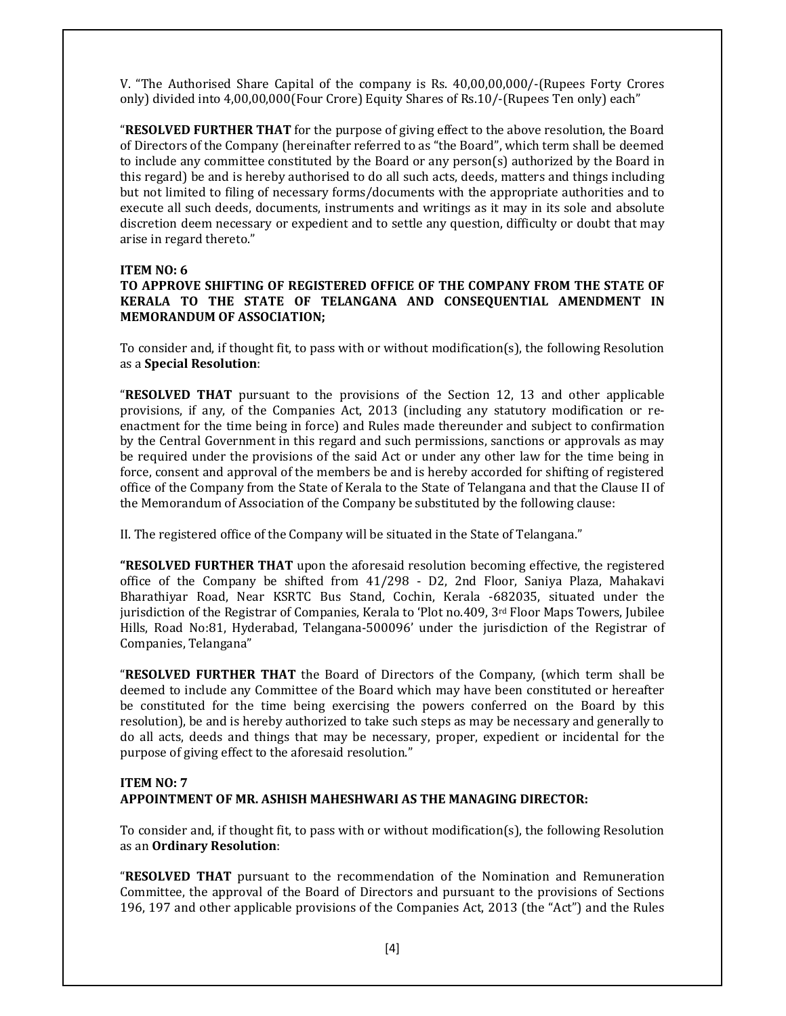V. "The Authorised Share Capital of the company is Rs. 40,00,00,000/-(Rupees Forty Crores only) divided into 4,00,00,000(Four Crore) Equity Shares of Rs.10/-(Rupees Ten only) each"

"RESOLVED FURTHER THAT for the purpose of giving effect to the above resolution, the Board of Directors of the Company (hereinafter referred to as "the Board", which term shall be deemed to include any committee constituted by the Board or any person(s) authorized by the Board in this regard) be and is hereby authorised to do all such acts, deeds, matters and things including but not limited to filing of necessary forms/documents with the appropriate authorities and to execute all such deeds, documents, instruments and writings as it may in its sole and absolute discretion deem necessary or expedient and to settle any question, difficulty or doubt that may arise in regard thereto."

#### ITEM NO: 6

#### TO APPROVE SHIFTING OF REGISTERED OFFICE OF THE COMPANY FROM THE STATE OF KERALA TO THE STATE OF TELANGANA AND CONSEQUENTIAL AMENDMENT IN MEMORANDUM OF ASSOCIATION;

To consider and, if thought fit, to pass with or without modification(s), the following Resolution as a Special Resolution:

"RESOLVED THAT pursuant to the provisions of the Section 12, 13 and other applicable provisions, if any, of the Companies Act, 2013 (including any statutory modification or reenactment for the time being in force) and Rules made thereunder and subject to confirmation by the Central Government in this regard and such permissions, sanctions or approvals as may be required under the provisions of the said Act or under any other law for the time being in force, consent and approval of the members be and is hereby accorded for shifting of registered office of the Company from the State of Kerala to the State of Telangana and that the Clause II of the Memorandum of Association of the Company be substituted by the following clause:

II. The registered office of the Company will be situated in the State of Telangana."

**"RESOLVED FURTHER THAT** upon the aforesaid resolution becoming effective, the registered office of the Company be shifted from 41/298 - D2, 2nd Floor, Saniya Plaza, Mahakavi Bharathiyar Road, Near KSRTC Bus Stand, Cochin, Kerala -682035, situated under the jurisdiction of the Registrar of Companies, Kerala to 'Plot no.409, 3rd Floor Maps Towers, Jubilee Hills, Road No:81, Hyderabad, Telangana-500096' under the jurisdiction of the Registrar of Companies, Telangana"

"RESOLVED FURTHER THAT the Board of Directors of the Company, (which term shall be deemed to include any Committee of the Board which may have been constituted or hereafter be constituted for the time being exercising the powers conferred on the Board by this resolution), be and is hereby authorized to take such steps as may be necessary and generally to do all acts, deeds and things that may be necessary, proper, expedient or incidental for the purpose of giving effect to the aforesaid resolution."

## ITEM NO: 7 APPOINTMENT OF MR. ASHISH MAHESHWARI AS THE MANAGING DIRECTOR:

To consider and, if thought fit, to pass with or without modification(s), the following Resolution as an Ordinary Resolution:

"RESOLVED THAT pursuant to the recommendation of the Nomination and Remuneration Committee, the approval of the Board of Directors and pursuant to the provisions of Sections 196, 197 and other applicable provisions of the Companies Act, 2013 (the "Act") and the Rules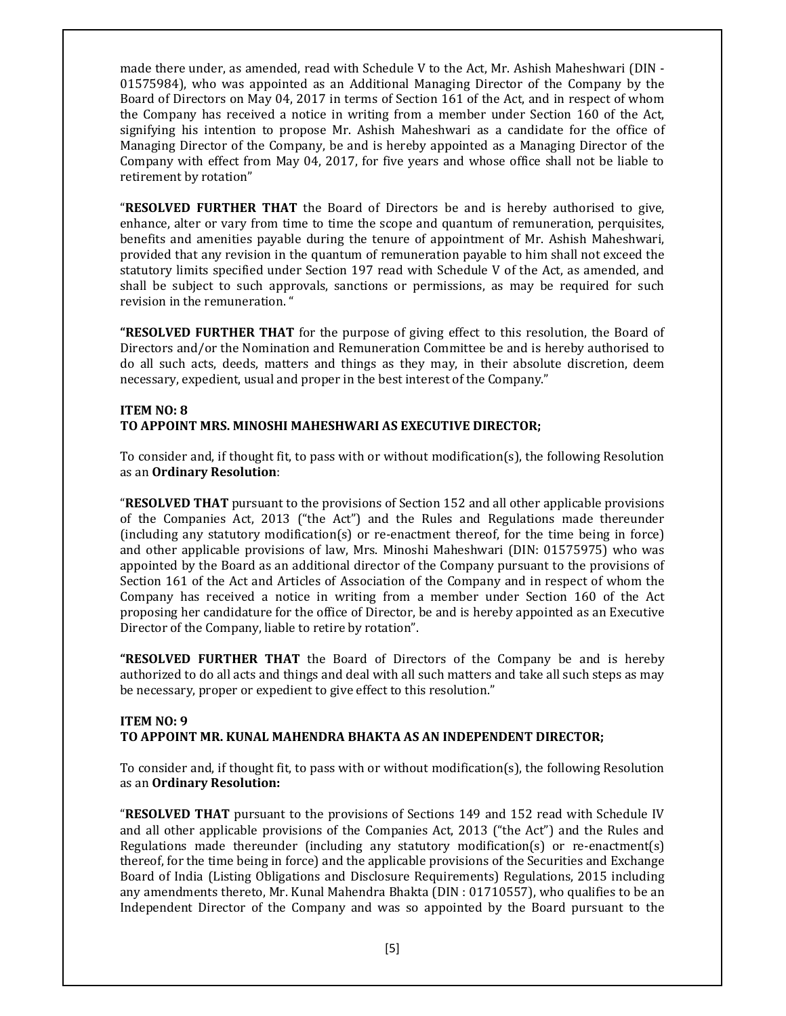made there under, as amended, read with Schedule V to the Act, Mr. Ashish Maheshwari (DIN - 01575984), who was appointed as an Additional Managing Director of the Company by the Board of Directors on May 04, 2017 in terms of Section 161 of the Act, and in respect of whom the Company has received a notice in writing from a member under Section 160 of the Act, signifying his intention to propose Mr. Ashish Maheshwari as a candidate for the office of Managing Director of the Company, be and is hereby appointed as a Managing Director of the Company with effect from May 04, 2017, for five years and whose office shall not be liable to retirement by rotation"

**"RESOLVED FURTHER THAT** the Board of Directors be and is hereby authorised to give, enhance, alter or vary from time to time the scope and quantum of remuneration, perquisites, benefits and amenities payable during the tenure of appointment of Mr. Ashish Maheshwari, provided that any revision in the quantum of remuneration payable to him shall not exceed the statutory limits specified under Section 197 read with Schedule V of the Act, as amended, and shall be subject to such approvals, sanctions or permissions, as may be required for such revision in the remuneration. "

"RESOLVED FURTHER THAT for the purpose of giving effect to this resolution, the Board of Directors and/or the Nomination and Remuneration Committee be and is hereby authorised to do all such acts, deeds, matters and things as they may, in their absolute discretion, deem necessary, expedient, usual and proper in the best interest of the Company."

## ITEM NO: 8 TO APPOINT MRS. MINOSHI MAHESHWARI AS EXECUTIVE DIRECTOR;

To consider and, if thought fit, to pass with or without modification(s), the following Resolution as an Ordinary Resolution:

"RESOLVED THAT pursuant to the provisions of Section 152 and all other applicable provisions of the Companies Act, 2013 ("the Act") and the Rules and Regulations made thereunder (including any statutory modification(s) or re-enactment thereof, for the time being in force) and other applicable provisions of law, Mrs. Minoshi Maheshwari (DIN: 01575975) who was appointed by the Board as an additional director of the Company pursuant to the provisions of Section 161 of the Act and Articles of Association of the Company and in respect of whom the Company has received a notice in writing from a member under Section 160 of the Act proposing her candidature for the office of Director, be and is hereby appointed as an Executive Director of the Company, liable to retire by rotation".

"RESOLVED FURTHER THAT the Board of Directors of the Company be and is hereby authorized to do all acts and things and deal with all such matters and take all such steps as may be necessary, proper or expedient to give effect to this resolution."

## ITEM NO: 9 TO APPOINT MR. KUNAL MAHENDRA BHAKTA AS AN INDEPENDENT DIRECTOR;

To consider and, if thought fit, to pass with or without modification(s), the following Resolution as an Ordinary Resolution:

"RESOLVED THAT pursuant to the provisions of Sections 149 and 152 read with Schedule IV and all other applicable provisions of the Companies Act, 2013 ("the Act") and the Rules and Regulations made thereunder (including any statutory modification(s) or re-enactment(s) thereof, for the time being in force) and the applicable provisions of the Securities and Exchange Board of India (Listing Obligations and Disclosure Requirements) Regulations, 2015 including any amendments thereto, Mr. Kunal Mahendra Bhakta (DIN : 01710557), who qualifies to be an Independent Director of the Company and was so appointed by the Board pursuant to the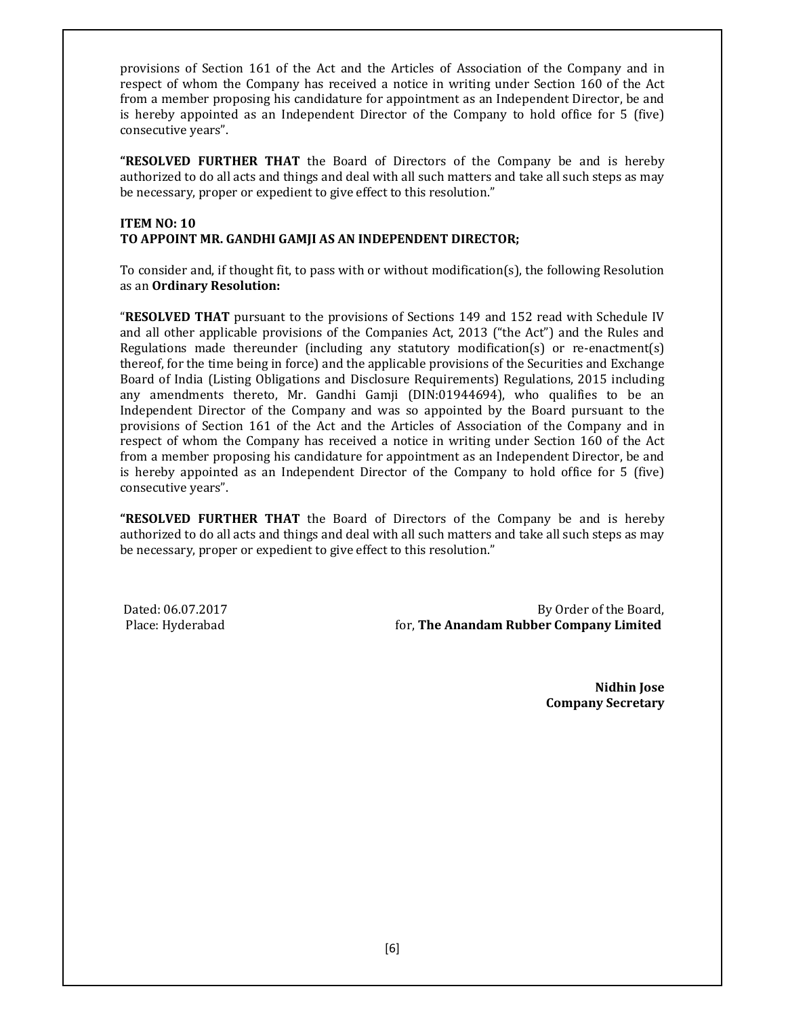provisions of Section 161 of the Act and the Articles of Association of the Company and in respect of whom the Company has received a notice in writing under Section 160 of the Act from a member proposing his candidature for appointment as an Independent Director, be and is hereby appointed as an Independent Director of the Company to hold office for 5 (five) consecutive years".

**"RESOLVED FURTHER THAT** the Board of Directors of the Company be and is hereby authorized to do all acts and things and deal with all such matters and take all such steps as may be necessary, proper or expedient to give effect to this resolution."

## ITEM NO: 10 TO APPOINT MR. GANDHI GAMJI AS AN INDEPENDENT DIRECTOR;

To consider and, if thought fit, to pass with or without modification(s), the following Resolution as an Ordinary Resolution:

"RESOLVED THAT pursuant to the provisions of Sections 149 and 152 read with Schedule IV and all other applicable provisions of the Companies Act, 2013 ("the Act") and the Rules and Regulations made thereunder (including any statutory modification(s) or re-enactment(s) thereof, for the time being in force) and the applicable provisions of the Securities and Exchange Board of India (Listing Obligations and Disclosure Requirements) Regulations, 2015 including any amendments thereto, Mr. Gandhi Gamji (DIN:01944694), who qualifies to be an Independent Director of the Company and was so appointed by the Board pursuant to the provisions of Section 161 of the Act and the Articles of Association of the Company and in respect of whom the Company has received a notice in writing under Section 160 of the Act from a member proposing his candidature for appointment as an Independent Director, be and is hereby appointed as an Independent Director of the Company to hold office for 5 (five) consecutive years".

**"RESOLVED FURTHER THAT** the Board of Directors of the Company be and is hereby authorized to do all acts and things and deal with all such matters and take all such steps as may be necessary, proper or expedient to give effect to this resolution."

Dated: 06.07.2017 By Order of the Board, Place: Hyderabad **Formulation** for, **The Anandam Rubber Company Limited** 

> Nidhin Jose Company Secretary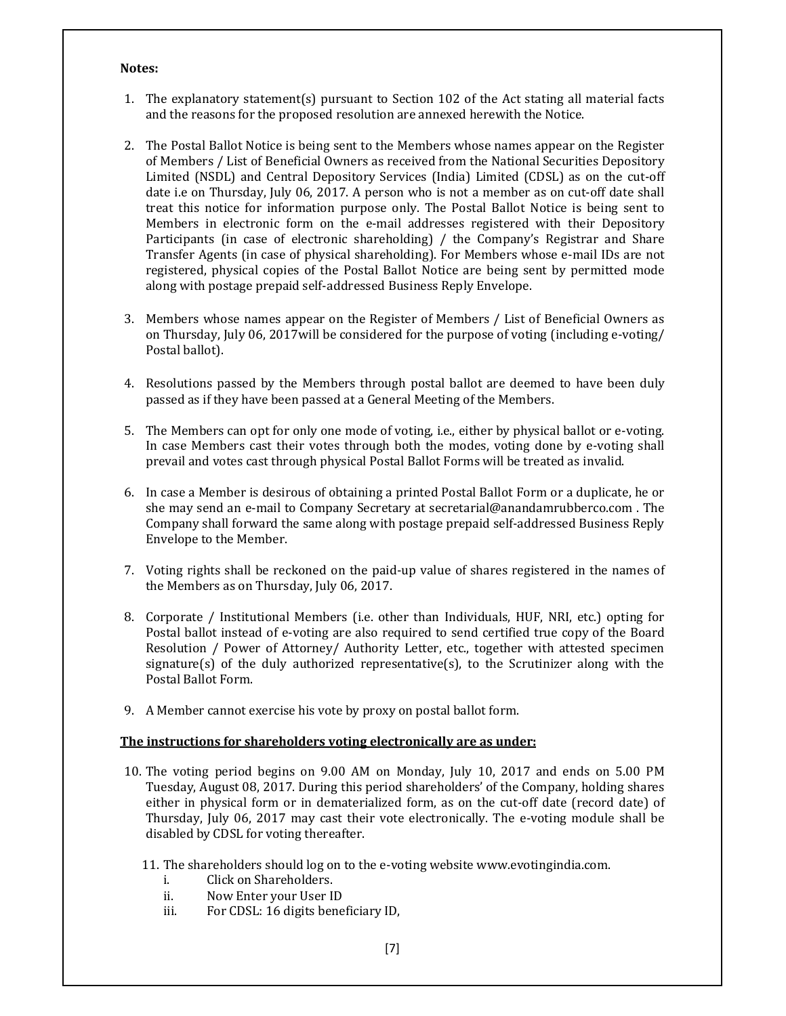#### Notes:

- 1. The explanatory statement(s) pursuant to Section 102 of the Act stating all material facts and the reasons for the proposed resolution are annexed herewith the Notice.
- 2. The Postal Ballot Notice is being sent to the Members whose names appear on the Register of Members / List of Beneficial Owners as received from the National Securities Depository Limited (NSDL) and Central Depository Services (India) Limited (CDSL) as on the cut-off date i.e on Thursday, July 06, 2017. A person who is not a member as on cut-off date shall treat this notice for information purpose only. The Postal Ballot Notice is being sent to Members in electronic form on the e-mail addresses registered with their Depository Participants (in case of electronic shareholding) / the Company's Registrar and Share Transfer Agents (in case of physical shareholding). For Members whose e-mail IDs are not registered, physical copies of the Postal Ballot Notice are being sent by permitted mode along with postage prepaid self-addressed Business Reply Envelope.
- 3. Members whose names appear on the Register of Members / List of Beneficial Owners as on Thursday, July 06, 2017will be considered for the purpose of voting (including e-voting/ Postal ballot).
- 4. Resolutions passed by the Members through postal ballot are deemed to have been duly passed as if they have been passed at a General Meeting of the Members.
- 5. The Members can opt for only one mode of voting, i.e., either by physical ballot or e-voting. In case Members cast their votes through both the modes, voting done by e-voting shall prevail and votes cast through physical Postal Ballot Forms will be treated as invalid.
- 6. In case a Member is desirous of obtaining a printed Postal Ballot Form or a duplicate, he or she may send an e-mail to Company Secretary at secretarial@anandamrubberco.com . The Company shall forward the same along with postage prepaid self-addressed Business Reply Envelope to the Member.
- 7. Voting rights shall be reckoned on the paid-up value of shares registered in the names of the Members as on Thursday, July 06, 2017.
- 8. Corporate / Institutional Members (i.e. other than Individuals, HUF, NRI, etc.) opting for Postal ballot instead of e-voting are also required to send certified true copy of the Board Resolution / Power of Attorney/ Authority Letter, etc., together with attested specimen signature(s) of the duly authorized representative(s), to the Scrutinizer along with the Postal Ballot Form.
- 9. A Member cannot exercise his vote by proxy on postal ballot form.

#### The instructions for shareholders voting electronically are as under:

- 10. The voting period begins on 9.00 AM on Monday, July 10, 2017 and ends on 5.00 PM Tuesday, August 08, 2017. During this period shareholders' of the Company, holding shares either in physical form or in dematerialized form, as on the cut-off date (record date) of Thursday, July 06, 2017 may cast their vote electronically. The e-voting module shall be disabled by CDSL for voting thereafter.
	- 11. The shareholders should log on to the e-voting website www.evotingindia.com.
		- i. Click on Shareholders.
		- ii. Now Enter your User ID
		- iii. For CDSL: 16 digits beneficiary ID,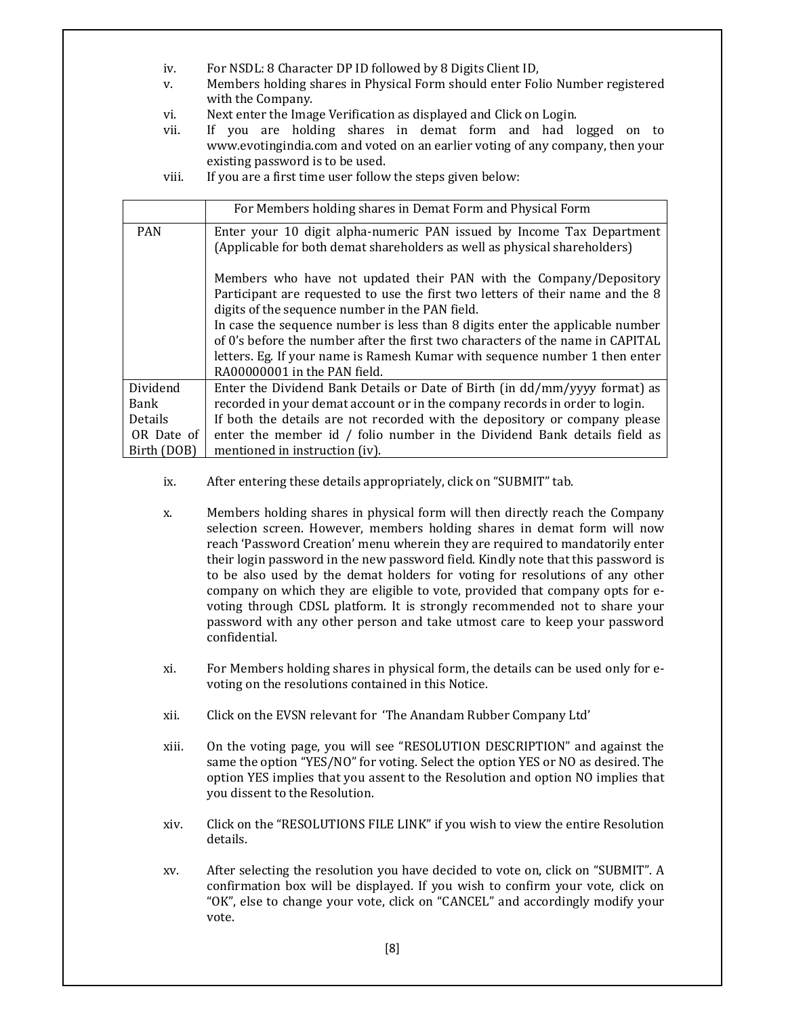- iv. For NSDL: 8 Character DP ID followed by 8 Digits Client ID,
- v. Members holding shares in Physical Form should enter Folio Number registered with the Company.
- vi. Next enter the Image Verification as displayed and Click on Login.
- vii. If you are holding shares in demat form and had logged on to www.evotingindia.com and voted on an earlier voting of any company, then your existing password is to be used.
- viii. If you are a first time user follow the steps given below:

|                                                                                | For Members holding shares in Demat Form and Physical Form                     |  |
|--------------------------------------------------------------------------------|--------------------------------------------------------------------------------|--|
| <b>PAN</b>                                                                     | Enter your 10 digit alpha-numeric PAN issued by Income Tax Department          |  |
|                                                                                | (Applicable for both demat shareholders as well as physical shareholders)      |  |
|                                                                                | Members who have not updated their PAN with the Company/Depository             |  |
| Participant are requested to use the first two letters of their name and the 8 |                                                                                |  |
| digits of the sequence number in the PAN field.                                |                                                                                |  |
| In case the sequence number is less than 8 digits enter the applicable number  |                                                                                |  |
|                                                                                | of 0's before the number after the first two characters of the name in CAPITAL |  |
|                                                                                | letters. Eg. If your name is Ramesh Kumar with sequence number 1 then enter    |  |
|                                                                                | RA00000001 in the PAN field.                                                   |  |
| Dividend                                                                       | Enter the Dividend Bank Details or Date of Birth (in dd/mm/yyyy format) as     |  |
| Bank                                                                           | recorded in your demat account or in the company records in order to login.    |  |
| <b>Details</b>                                                                 | If both the details are not recorded with the depository or company please     |  |
| OR Date of                                                                     | enter the member id / folio number in the Dividend Bank details field as       |  |
| Birth (DOB)                                                                    | mentioned in instruction (iv).                                                 |  |

- ix. After entering these details appropriately, click on "SUBMIT" tab.
- x. Members holding shares in physical form will then directly reach the Company selection screen. However, members holding shares in demat form will now reach 'Password Creation' menu wherein they are required to mandatorily enter their login password in the new password field. Kindly note that this password is to be also used by the demat holders for voting for resolutions of any other company on which they are eligible to vote, provided that company opts for evoting through CDSL platform. It is strongly recommended not to share your password with any other person and take utmost care to keep your password confidential.
- xi. For Members holding shares in physical form, the details can be used only for evoting on the resolutions contained in this Notice.
- xii. Click on the EVSN relevant for 'The Anandam Rubber Company Ltd'
- xiii. On the voting page, you will see "RESOLUTION DESCRIPTION" and against the same the option "YES/NO" for voting. Select the option YES or NO as desired. The option YES implies that you assent to the Resolution and option NO implies that you dissent to the Resolution.
- xiv. Click on the "RESOLUTIONS FILE LINK" if you wish to view the entire Resolution details.
- xv. After selecting the resolution you have decided to vote on, click on "SUBMIT". A confirmation box will be displayed. If you wish to confirm your vote, click on "OK", else to change your vote, click on "CANCEL" and accordingly modify your vote.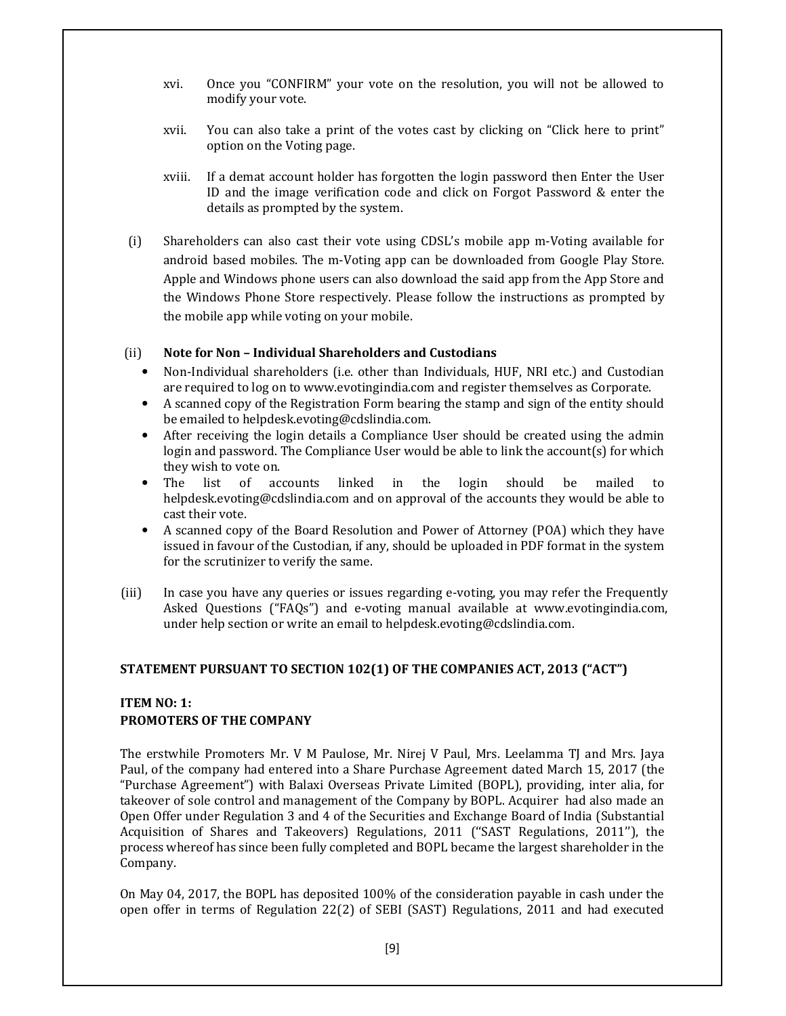- xvi. Once you "CONFIRM" your vote on the resolution, you will not be allowed to modify your vote.
- xvii. You can also take a print of the votes cast by clicking on "Click here to print" option on the Voting page.
- xviii. If a demat account holder has forgotten the login password then Enter the User ID and the image verification code and click on Forgot Password & enter the details as prompted by the system.
- (i) Shareholders can also cast their vote using CDSL's mobile app m-Voting available for android based mobiles. The m-Voting app can be downloaded from Google Play Store. Apple and Windows phone users can also download the said app from the App Store and the Windows Phone Store respectively. Please follow the instructions as prompted by the mobile app while voting on your mobile.

#### (ii) Note for Non – Individual Shareholders and Custodians

- Non-Individual shareholders (i.e. other than Individuals, HUF, NRI etc.) and Custodian are required to log on to www.evotingindia.com and register themselves as Corporate.
- A scanned copy of the Registration Form bearing the stamp and sign of the entity should be emailed to helpdesk.evoting@cdslindia.com.
- After receiving the login details a Compliance User should be created using the admin login and password. The Compliance User would be able to link the account(s) for which they wish to vote on.
- The list of accounts linked in the login should be mailed to helpdesk.evoting@cdslindia.com and on approval of the accounts they would be able to cast their vote.
- A scanned copy of the Board Resolution and Power of Attorney (POA) which they have issued in favour of the Custodian, if any, should be uploaded in PDF format in the system for the scrutinizer to verify the same.
- (iii) In case you have any queries or issues regarding e-voting, you may refer the Frequently Asked Questions ("FAQs") and e-voting manual available at www.evotingindia.com, under help section or write an email to helpdesk.evoting@cdslindia.com.

## STATEMENT PURSUANT TO SECTION 102(1) OF THE COMPANIES ACT, 2013 ("ACT")

## ITEM NO: 1: PROMOTERS OF THE COMPANY

The erstwhile Promoters Mr. V M Paulose, Mr. Nirej V Paul, Mrs. Leelamma TJ and Mrs. Jaya Paul, of the company had entered into a Share Purchase Agreement dated March 15, 2017 (the "Purchase Agreement") with Balaxi Overseas Private Limited (BOPL), providing, inter alia, for takeover of sole control and management of the Company by BOPL. Acquirer had also made an Open Offer under Regulation 3 and 4 of the Securities and Exchange Board of India (Substantial Acquisition of Shares and Takeovers) Regulations, 2011 (''SAST Regulations, 2011''), the process whereof has since been fully completed and BOPL became the largest shareholder in the Company.

On May 04, 2017, the BOPL has deposited 100% of the consideration payable in cash under the open offer in terms of Regulation 22(2) of SEBI (SAST) Regulations, 2011 and had executed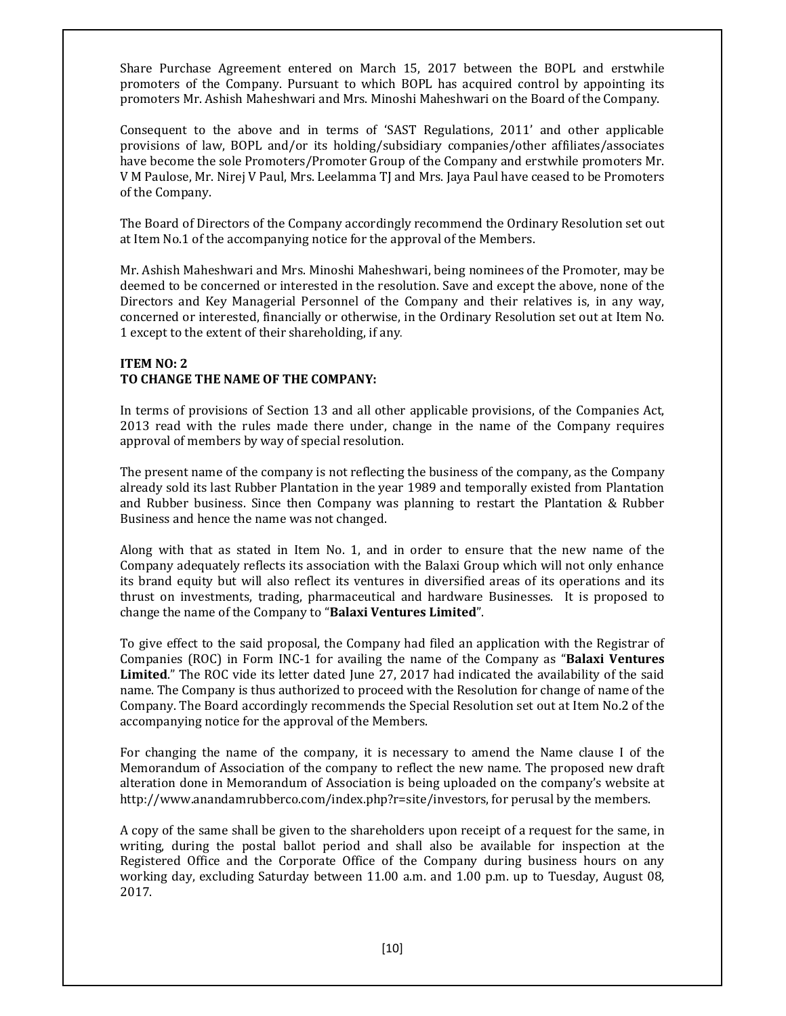Share Purchase Agreement entered on March 15, 2017 between the BOPL and erstwhile promoters of the Company. Pursuant to which BOPL has acquired control by appointing its promoters Mr. Ashish Maheshwari and Mrs. Minoshi Maheshwari on the Board of the Company.

Consequent to the above and in terms of 'SAST Regulations, 2011' and other applicable provisions of law, BOPL and/or its holding/subsidiary companies/other affiliates/associates have become the sole Promoters/Promoter Group of the Company and erstwhile promoters Mr. V M Paulose, Mr. Nirej V Paul, Mrs. Leelamma TJ and Mrs. Jaya Paul have ceased to be Promoters of the Company.

The Board of Directors of the Company accordingly recommend the Ordinary Resolution set out at Item No.1 of the accompanying notice for the approval of the Members.

Mr. Ashish Maheshwari and Mrs. Minoshi Maheshwari, being nominees of the Promoter, may be deemed to be concerned or interested in the resolution. Save and except the above, none of the Directors and Key Managerial Personnel of the Company and their relatives is, in any way, concerned or interested, financially or otherwise, in the Ordinary Resolution set out at Item No. 1 except to the extent of their shareholding, if any.

## ITEM NO: 2 TO CHANGE THE NAME OF THE COMPANY:

In terms of provisions of Section 13 and all other applicable provisions, of the Companies Act, 2013 read with the rules made there under, change in the name of the Company requires approval of members by way of special resolution.

The present name of the company is not reflecting the business of the company, as the Company already sold its last Rubber Plantation in the year 1989 and temporally existed from Plantation and Rubber business. Since then Company was planning to restart the Plantation & Rubber Business and hence the name was not changed.

Along with that as stated in Item No. 1, and in order to ensure that the new name of the Company adequately reflects its association with the Balaxi Group which will not only enhance its brand equity but will also reflect its ventures in diversified areas of its operations and its thrust on investments, trading, pharmaceutical and hardware Businesses. It is proposed to change the name of the Company to "Balaxi Ventures Limited".

To give effect to the said proposal, the Company had filed an application with the Registrar of Companies (ROC) in Form INC-1 for availing the name of the Company as "Balaxi Ventures Limited." The ROC vide its letter dated June 27, 2017 had indicated the availability of the said name. The Company is thus authorized to proceed with the Resolution for change of name of the Company. The Board accordingly recommends the Special Resolution set out at Item No.2 of the accompanying notice for the approval of the Members.

For changing the name of the company, it is necessary to amend the Name clause I of the Memorandum of Association of the company to reflect the new name. The proposed new draft alteration done in Memorandum of Association is being uploaded on the company's website at http://www.anandamrubberco.com/index.php?r=site/investors, for perusal by the members.

A copy of the same shall be given to the shareholders upon receipt of a request for the same, in writing, during the postal ballot period and shall also be available for inspection at the Registered Office and the Corporate Office of the Company during business hours on any working day, excluding Saturday between 11.00 a.m. and 1.00 p.m. up to Tuesday, August 08, 2017.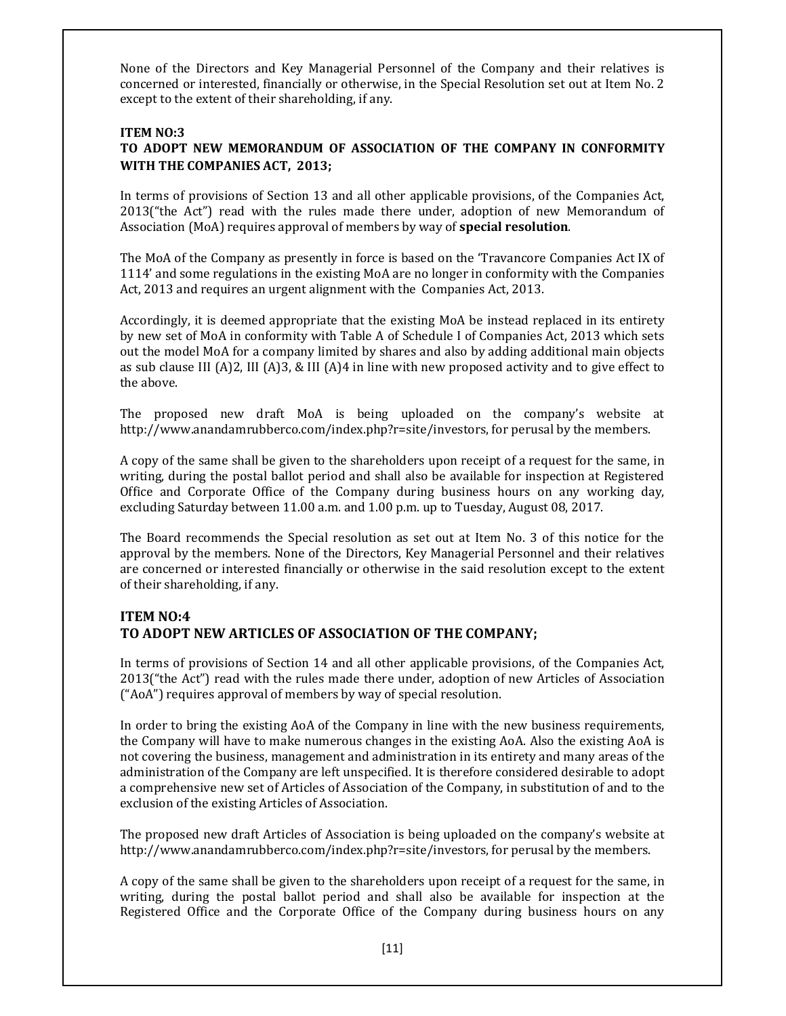None of the Directors and Key Managerial Personnel of the Company and their relatives is concerned or interested, financially or otherwise, in the Special Resolution set out at Item No. 2 except to the extent of their shareholding, if any.

## ITEM NO:3

# TO ADOPT NEW MEMORANDUM OF ASSOCIATION OF THE COMPANY IN CONFORMITY WITH THE COMPANIES ACT, 2013;

In terms of provisions of Section 13 and all other applicable provisions, of the Companies Act, 2013("the Act") read with the rules made there under, adoption of new Memorandum of Association (MoA) requires approval of members by way of special resolution.

The MoA of the Company as presently in force is based on the 'Travancore Companies Act IX of 1114' and some regulations in the existing MoA are no longer in conformity with the Companies Act, 2013 and requires an urgent alignment with the Companies Act, 2013.

Accordingly, it is deemed appropriate that the existing MoA be instead replaced in its entirety by new set of MoA in conformity with Table A of Schedule I of Companies Act, 2013 which sets out the model MoA for a company limited by shares and also by adding additional main objects as sub clause III (A)2, III (A)3, & III (A)4 in line with new proposed activity and to give effect to the above.

The proposed new draft MoA is being uploaded on the company's website at http://www.anandamrubberco.com/index.php?r=site/investors, for perusal by the members.

A copy of the same shall be given to the shareholders upon receipt of a request for the same, in writing, during the postal ballot period and shall also be available for inspection at Registered Office and Corporate Office of the Company during business hours on any working day, excluding Saturday between 11.00 a.m. and 1.00 p.m. up to Tuesday, August 08, 2017.

The Board recommends the Special resolution as set out at Item No. 3 of this notice for the approval by the members. None of the Directors, Key Managerial Personnel and their relatives are concerned or interested financially or otherwise in the said resolution except to the extent of their shareholding, if any.

# ITEM NO:4 TO ADOPT NEW ARTICLES OF ASSOCIATION OF THE COMPANY;

In terms of provisions of Section 14 and all other applicable provisions, of the Companies Act, 2013("the Act") read with the rules made there under, adoption of new Articles of Association ("AoA") requires approval of members by way of special resolution.

In order to bring the existing AoA of the Company in line with the new business requirements, the Company will have to make numerous changes in the existing AoA. Also the existing AoA is not covering the business, management and administration in its entirety and many areas of the administration of the Company are left unspecified. It is therefore considered desirable to adopt a comprehensive new set of Articles of Association of the Company, in substitution of and to the exclusion of the existing Articles of Association.

The proposed new draft Articles of Association is being uploaded on the company's website at http://www.anandamrubberco.com/index.php?r=site/investors, for perusal by the members.

A copy of the same shall be given to the shareholders upon receipt of a request for the same, in writing, during the postal ballot period and shall also be available for inspection at the Registered Office and the Corporate Office of the Company during business hours on any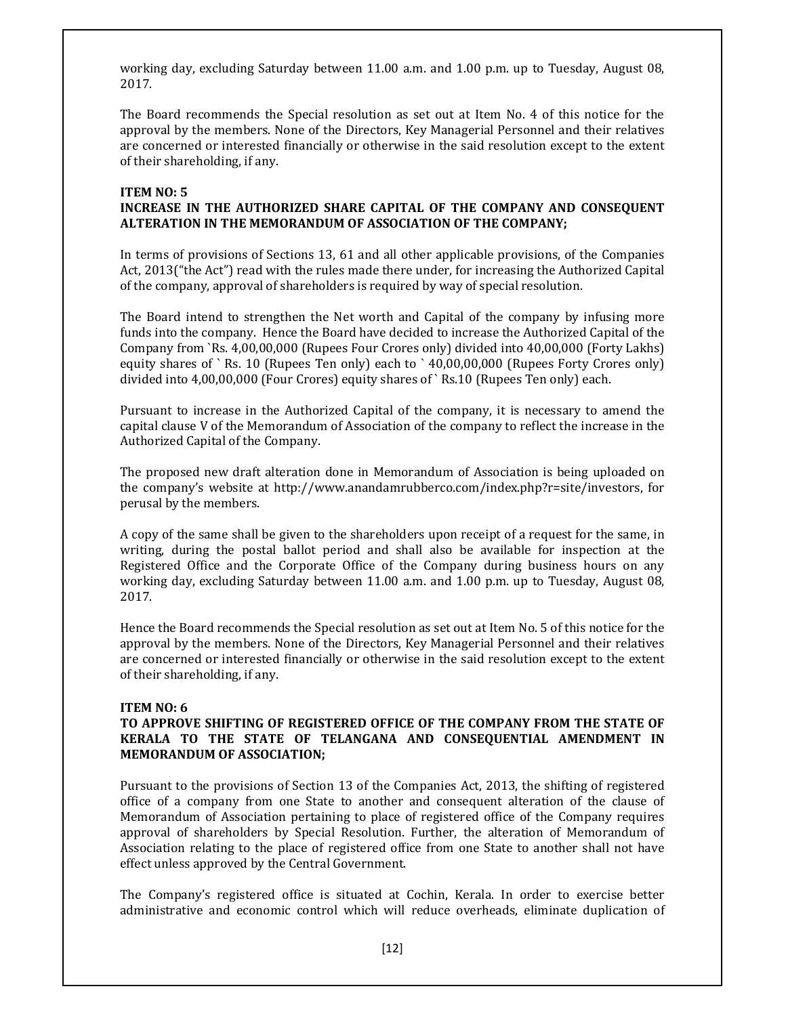working day, excluding Saturday between 11.00 a.m. and 1.00 p.m. up to Tuesday, August 08, 2017.

The Board recommends the Special resolution as set out at Item No. 4 of this notice for the approval by the members. None of the Directors, Key Managerial Personnel and their relatives are concerned or interested financially or otherwise in the said resolution except to the extent of their shareholding, if any.

## ITEM NO: 5

## INCREASE IN THE AUTHORIZED SHARE CAPITAL OF THE COMPANY AND CONSEQUENT ALTERATION IN THE MEMORANDUM OF ASSOCIATION OF THE COMPANY;

In terms of provisions of Sections 13, 61 and all other applicable provisions, of the Companies Act, 2013("the Act") read with the rules made there under, for increasing the Authorized Capital of the company, approval of shareholders is required by way of special resolution.

The Board intend to strengthen the Net worth and Capital of the company by infusing more funds into the company. Hence the Board have decided to increase the Authorized Capital of the Company from `Rs. 4,00,00,000 (Rupees Four Crores only) divided into 40,00,000 (Forty Lakhs) equity shares of `Rs. 10 (Rupees Ten only) each to `40,00,00,000 (Rupees Forty Crores only) divided into 4,00,00,000 (Four Crores) equity shares of ` Rs.10 (Rupees Ten only) each.

Pursuant to increase in the Authorized Capital of the company, it is necessary to amend the capital clause V of the Memorandum of Association of the company to reflect the increase in the Authorized Capital of the Company.

The proposed new draft alteration done in Memorandum of Association is being uploaded on the company's website at http://www.anandamrubberco.com/index.php?r=site/investors, for perusal by the members.

A copy of the same shall be given to the shareholders upon receipt of a request for the same, in writing, during the postal ballot period and shall also be available for inspection at the Registered Office and the Corporate Office of the Company during business hours on any working day, excluding Saturday between 11.00 a.m. and 1.00 p.m. up to Tuesday, August 08, 2017.

Hence the Board recommends the Special resolution as set out at Item No. 5 of this notice for the approval by the members. None of the Directors, Key Managerial Personnel and their relatives are concerned or interested financially or otherwise in the said resolution except to the extent of their shareholding, if any.

## ITEM NO: 6

## TO APPROVE SHIFTING OF REGISTERED OFFICE OF THE COMPANY FROM THE STATE OF KERALA TO THE STATE OF TELANGANA AND CONSEQUENTIAL AMENDMENT IN MEMORANDUM OF ASSOCIATION;

Pursuant to the provisions of Section 13 of the Companies Act, 2013, the shifting of registered office of a company from one State to another and consequent alteration of the clause of Memorandum of Association pertaining to place of registered office of the Company requires approval of shareholders by Special Resolution. Further, the alteration of Memorandum of Association relating to the place of registered office from one State to another shall not have effect unless approved by the Central Government.

The Company's registered office is situated at Cochin, Kerala. In order to exercise better administrative and economic control which will reduce overheads, eliminate duplication of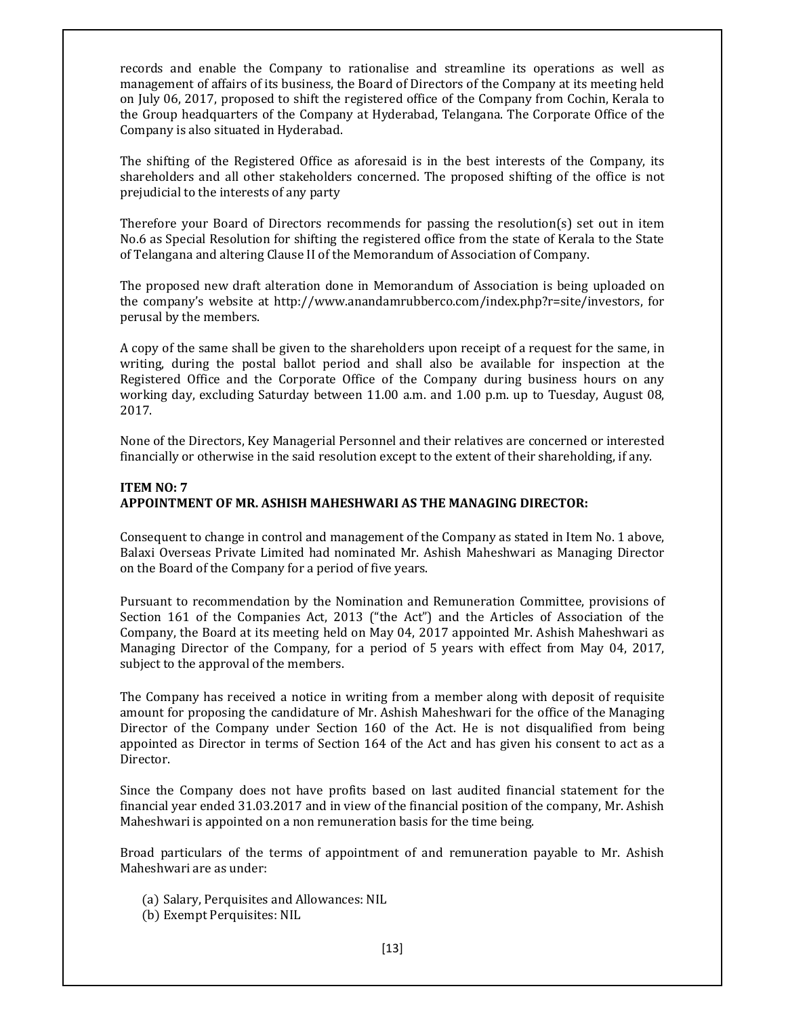records and enable the Company to rationalise and streamline its operations as well as management of affairs of its business, the Board of Directors of the Company at its meeting held on July 06, 2017, proposed to shift the registered office of the Company from Cochin, Kerala to the Group headquarters of the Company at Hyderabad, Telangana. The Corporate Office of the Company is also situated in Hyderabad.

The shifting of the Registered Office as aforesaid is in the best interests of the Company, its shareholders and all other stakeholders concerned. The proposed shifting of the office is not prejudicial to the interests of any party

Therefore your Board of Directors recommends for passing the resolution(s) set out in item No.6 as Special Resolution for shifting the registered office from the state of Kerala to the State of Telangana and altering Clause II of the Memorandum of Association of Company.

The proposed new draft alteration done in Memorandum of Association is being uploaded on the company's website at http://www.anandamrubberco.com/index.php?r=site/investors, for perusal by the members.

A copy of the same shall be given to the shareholders upon receipt of a request for the same, in writing, during the postal ballot period and shall also be available for inspection at the Registered Office and the Corporate Office of the Company during business hours on any working day, excluding Saturday between 11.00 a.m. and 1.00 p.m. up to Tuesday, August 08, 2017.

None of the Directors, Key Managerial Personnel and their relatives are concerned or interested financially or otherwise in the said resolution except to the extent of their shareholding, if any.

## ITEM NO: 7 APPOINTMENT OF MR. ASHISH MAHESHWARI AS THE MANAGING DIRECTOR:

Consequent to change in control and management of the Company as stated in Item No. 1 above, Balaxi Overseas Private Limited had nominated Mr. Ashish Maheshwari as Managing Director on the Board of the Company for a period of five years.

Pursuant to recommendation by the Nomination and Remuneration Committee, provisions of Section 161 of the Companies Act, 2013 ("the Act") and the Articles of Association of the Company, the Board at its meeting held on May 04, 2017 appointed Mr. Ashish Maheshwari as Managing Director of the Company, for a period of 5 years with effect from May 04, 2017, subject to the approval of the members.

The Company has received a notice in writing from a member along with deposit of requisite amount for proposing the candidature of Mr. Ashish Maheshwari for the office of the Managing Director of the Company under Section 160 of the Act. He is not disqualified from being appointed as Director in terms of Section 164 of the Act and has given his consent to act as a Director.

Since the Company does not have profits based on last audited financial statement for the financial year ended 31.03.2017 and in view of the financial position of the company, Mr. Ashish Maheshwari is appointed on a non remuneration basis for the time being.

Broad particulars of the terms of appointment of and remuneration payable to Mr. Ashish Maheshwari are as under:

- (a) Salary, Perquisites and Allowances: NIL
- (b) Exempt Perquisites: NIL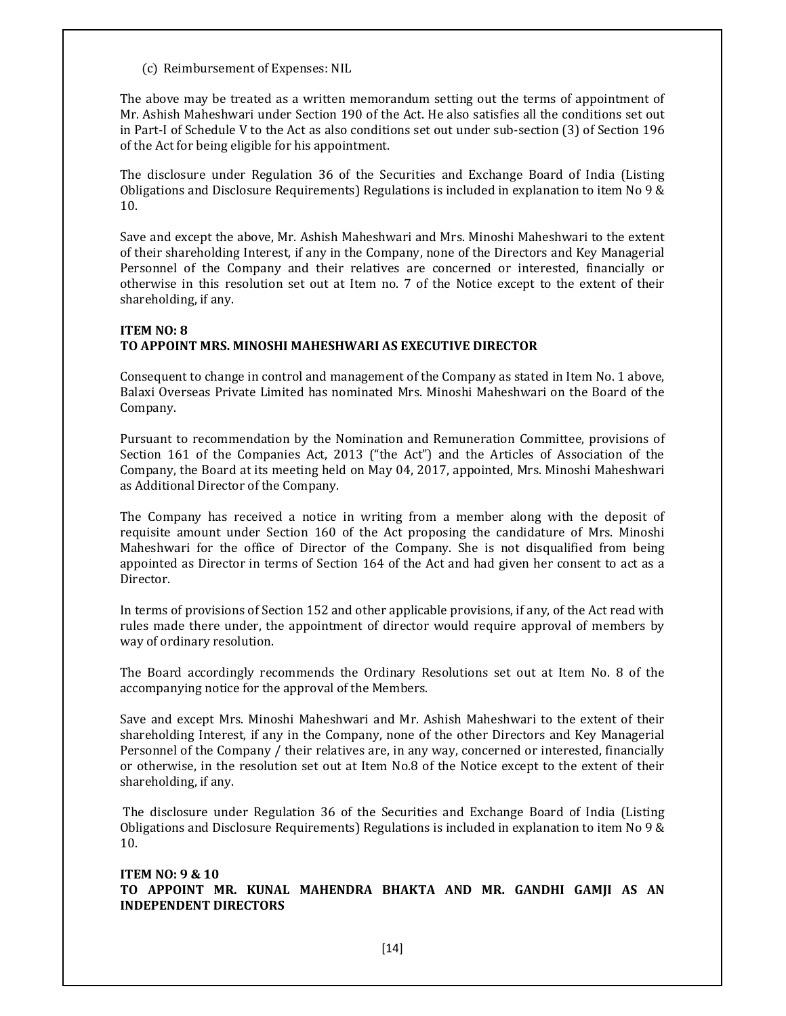(c) Reimbursement of Expenses: NIL

The above may be treated as a written memorandum setting out the terms of appointment of Mr. Ashish Maheshwari under Section 190 of the Act. He also satisfies all the conditions set out in Part-I of Schedule V to the Act as also conditions set out under sub-section (3) of Section 196 of the Act for being eligible for his appointment.

The disclosure under Regulation 36 of the Securities and Exchange Board of India (Listing Obligations and Disclosure Requirements) Regulations is included in explanation to item No 9 & 10.

Save and except the above, Mr. Ashish Maheshwari and Mrs. Minoshi Maheshwari to the extent of their shareholding Interest, if any in the Company, none of the Directors and Key Managerial Personnel of the Company and their relatives are concerned or interested, financially or otherwise in this resolution set out at Item no. 7 of the Notice except to the extent of their shareholding, if any.

## ITEM NO: 8 TO APPOINT MRS. MINOSHI MAHESHWARI AS EXECUTIVE DIRECTOR

Consequent to change in control and management of the Company as stated in Item No. 1 above, Balaxi Overseas Private Limited has nominated Mrs. Minoshi Maheshwari on the Board of the Company.

Pursuant to recommendation by the Nomination and Remuneration Committee, provisions of Section 161 of the Companies Act, 2013 ("the Act") and the Articles of Association of the Company, the Board at its meeting held on May 04, 2017, appointed, Mrs. Minoshi Maheshwari as Additional Director of the Company.

The Company has received a notice in writing from a member along with the deposit of requisite amount under Section 160 of the Act proposing the candidature of Mrs. Minoshi Maheshwari for the office of Director of the Company. She is not disqualified from being appointed as Director in terms of Section 164 of the Act and had given her consent to act as a Director.

In terms of provisions of Section 152 and other applicable provisions, if any, of the Act read with rules made there under, the appointment of director would require approval of members by way of ordinary resolution.

The Board accordingly recommends the Ordinary Resolutions set out at Item No. 8 of the accompanying notice for the approval of the Members.

Save and except Mrs. Minoshi Maheshwari and Mr. Ashish Maheshwari to the extent of their shareholding Interest, if any in the Company, none of the other Directors and Key Managerial Personnel of the Company / their relatives are, in any way, concerned or interested, financially or otherwise, in the resolution set out at Item No.8 of the Notice except to the extent of their shareholding, if any.

 The disclosure under Regulation 36 of the Securities and Exchange Board of India (Listing Obligations and Disclosure Requirements) Regulations is included in explanation to item No 9 & 10.

ITEM NO: 9 & 10 TO APPOINT MR. KUNAL MAHENDRA BHAKTA AND MR. GANDHI GAMJI AS AN INDEPENDENT DIRECTORS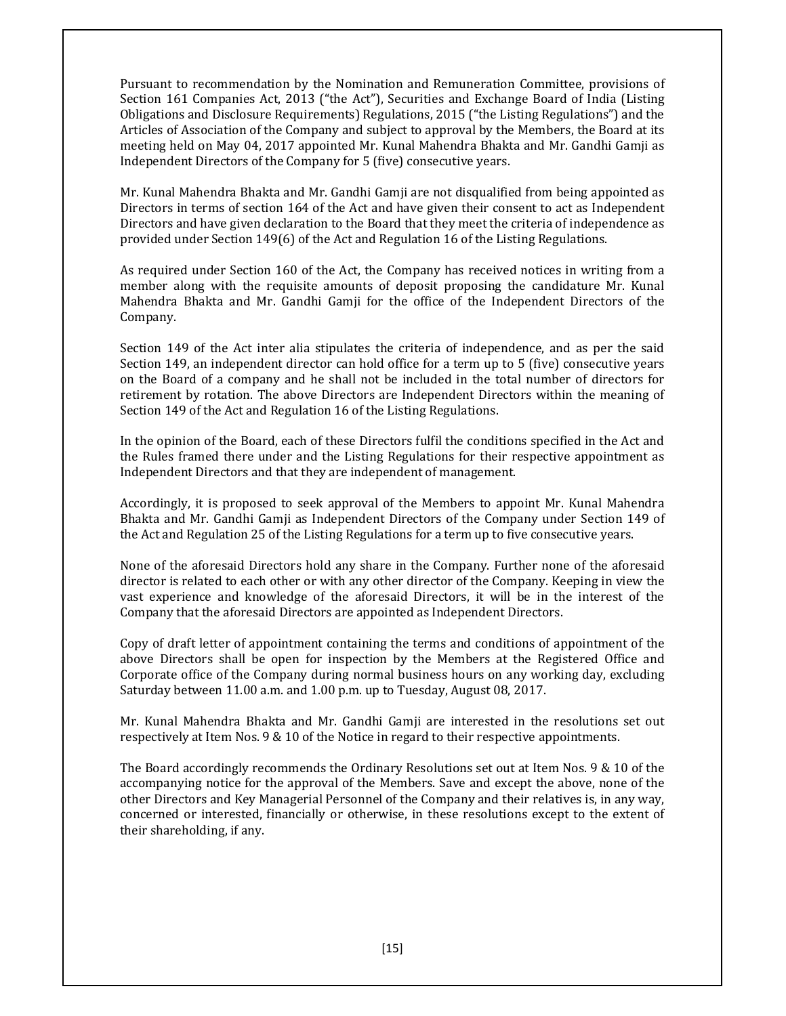Pursuant to recommendation by the Nomination and Remuneration Committee, provisions of Section 161 Companies Act, 2013 ("the Act"), Securities and Exchange Board of India (Listing Obligations and Disclosure Requirements) Regulations, 2015 ("the Listing Regulations") and the Articles of Association of the Company and subject to approval by the Members, the Board at its meeting held on May 04, 2017 appointed Mr. Kunal Mahendra Bhakta and Mr. Gandhi Gamji as Independent Directors of the Company for 5 (five) consecutive years.

Mr. Kunal Mahendra Bhakta and Mr. Gandhi Gamji are not disqualified from being appointed as Directors in terms of section 164 of the Act and have given their consent to act as Independent Directors and have given declaration to the Board that they meet the criteria of independence as provided under Section 149(6) of the Act and Regulation 16 of the Listing Regulations.

As required under Section 160 of the Act, the Company has received notices in writing from a member along with the requisite amounts of deposit proposing the candidature Mr. Kunal Mahendra Bhakta and Mr. Gandhi Gamji for the office of the Independent Directors of the Company.

Section 149 of the Act inter alia stipulates the criteria of independence, and as per the said Section 149, an independent director can hold office for a term up to 5 (five) consecutive years on the Board of a company and he shall not be included in the total number of directors for retirement by rotation. The above Directors are Independent Directors within the meaning of Section 149 of the Act and Regulation 16 of the Listing Regulations.

In the opinion of the Board, each of these Directors fulfil the conditions specified in the Act and the Rules framed there under and the Listing Regulations for their respective appointment as Independent Directors and that they are independent of management.

Accordingly, it is proposed to seek approval of the Members to appoint Mr. Kunal Mahendra Bhakta and Mr. Gandhi Gamji as Independent Directors of the Company under Section 149 of the Act and Regulation 25 of the Listing Regulations for a term up to five consecutive years.

None of the aforesaid Directors hold any share in the Company. Further none of the aforesaid director is related to each other or with any other director of the Company. Keeping in view the vast experience and knowledge of the aforesaid Directors, it will be in the interest of the Company that the aforesaid Directors are appointed as Independent Directors.

Copy of draft letter of appointment containing the terms and conditions of appointment of the above Directors shall be open for inspection by the Members at the Registered Office and Corporate office of the Company during normal business hours on any working day, excluding Saturday between 11.00 a.m. and 1.00 p.m. up to Tuesday, August 08, 2017.

Mr. Kunal Mahendra Bhakta and Mr. Gandhi Gamji are interested in the resolutions set out respectively at Item Nos. 9 & 10 of the Notice in regard to their respective appointments.

The Board accordingly recommends the Ordinary Resolutions set out at Item Nos. 9 & 10 of the accompanying notice for the approval of the Members. Save and except the above, none of the other Directors and Key Managerial Personnel of the Company and their relatives is, in any way, concerned or interested, financially or otherwise, in these resolutions except to the extent of their shareholding, if any.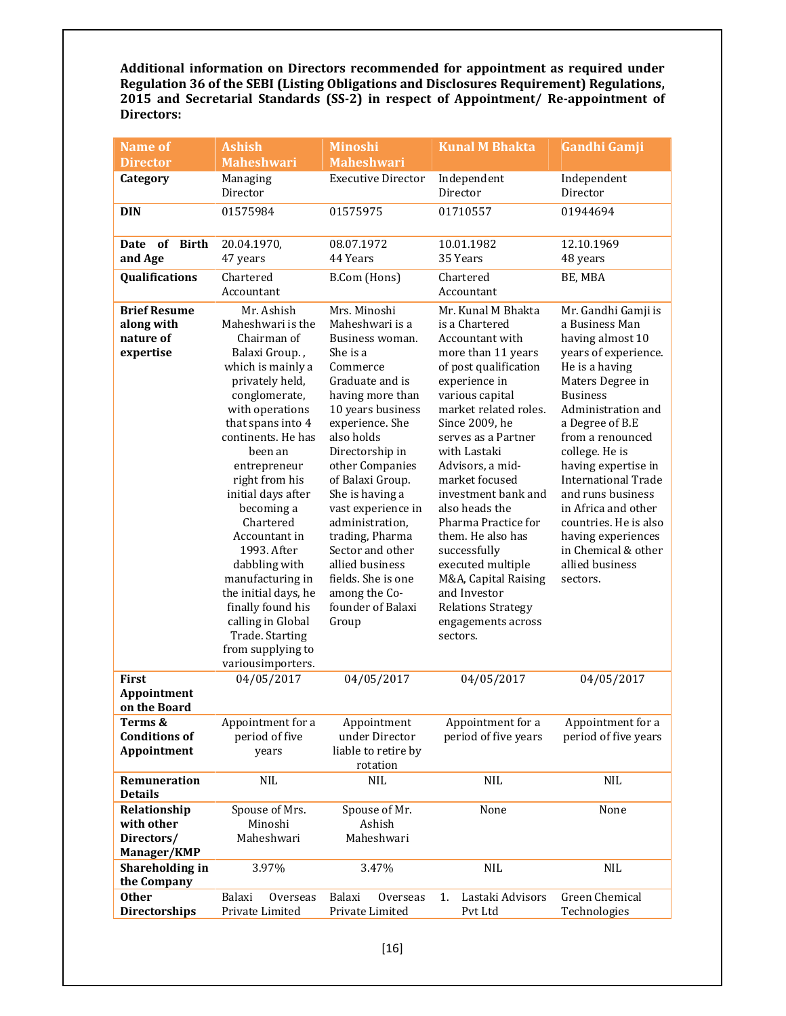Additional information on Directors recommended for appointment as required under Regulation 36 of the SEBI (Listing Obligations and Disclosures Requirement) Regulations, 2015 and Secretarial Standards (SS-2) in respect of Appointment/ Re-appointment of Directors:

| <b>Name of</b>                                              | <b>Ashish</b>                                                                                                                                                                                                                                                                                                                                                                                                                                                                             | <b>Minoshi</b>                                                                                                                                                                                                                                                                                                                                                                                                               | <b>Kunal M Bhakta</b><br><b>Gandhi Gamji</b>                                                                                                                                                                                                                                                                                                                                                                                                                                                        |                                                                                                                                                                                                                                                                                                                                                                                                                                 |  |
|-------------------------------------------------------------|-------------------------------------------------------------------------------------------------------------------------------------------------------------------------------------------------------------------------------------------------------------------------------------------------------------------------------------------------------------------------------------------------------------------------------------------------------------------------------------------|------------------------------------------------------------------------------------------------------------------------------------------------------------------------------------------------------------------------------------------------------------------------------------------------------------------------------------------------------------------------------------------------------------------------------|-----------------------------------------------------------------------------------------------------------------------------------------------------------------------------------------------------------------------------------------------------------------------------------------------------------------------------------------------------------------------------------------------------------------------------------------------------------------------------------------------------|---------------------------------------------------------------------------------------------------------------------------------------------------------------------------------------------------------------------------------------------------------------------------------------------------------------------------------------------------------------------------------------------------------------------------------|--|
| <b>Director</b>                                             | <b>Maheshwari</b>                                                                                                                                                                                                                                                                                                                                                                                                                                                                         | <b>Maheshwari</b>                                                                                                                                                                                                                                                                                                                                                                                                            |                                                                                                                                                                                                                                                                                                                                                                                                                                                                                                     |                                                                                                                                                                                                                                                                                                                                                                                                                                 |  |
| Category                                                    | Managing<br>Director                                                                                                                                                                                                                                                                                                                                                                                                                                                                      | <b>Executive Director</b>                                                                                                                                                                                                                                                                                                                                                                                                    | Independent<br>Director                                                                                                                                                                                                                                                                                                                                                                                                                                                                             | Independent<br>Director                                                                                                                                                                                                                                                                                                                                                                                                         |  |
| <b>DIN</b>                                                  | 01575984                                                                                                                                                                                                                                                                                                                                                                                                                                                                                  | 01575975                                                                                                                                                                                                                                                                                                                                                                                                                     | 01710557                                                                                                                                                                                                                                                                                                                                                                                                                                                                                            | 01944694                                                                                                                                                                                                                                                                                                                                                                                                                        |  |
| of<br><b>Birth</b><br>Date<br>and Age                       | 20.04.1970,<br>47 years                                                                                                                                                                                                                                                                                                                                                                                                                                                                   | 08.07.1972<br>44 Years                                                                                                                                                                                                                                                                                                                                                                                                       | 10.01.1982<br>35 Years                                                                                                                                                                                                                                                                                                                                                                                                                                                                              | 12.10.1969<br>48 years                                                                                                                                                                                                                                                                                                                                                                                                          |  |
| Qualifications                                              | Chartered<br>Accountant                                                                                                                                                                                                                                                                                                                                                                                                                                                                   | B.Com (Hons)                                                                                                                                                                                                                                                                                                                                                                                                                 | Chartered<br>Accountant                                                                                                                                                                                                                                                                                                                                                                                                                                                                             |                                                                                                                                                                                                                                                                                                                                                                                                                                 |  |
| <b>Brief Resume</b><br>along with<br>nature of<br>expertise | Mr. Ashish<br>Maheshwari is the<br>Chairman of<br>Balaxi Group.,<br>which is mainly a<br>privately held,<br>conglomerate,<br>with operations<br>that spans into 4<br>continents. He has<br>been an<br>entrepreneur<br>right from his<br>initial days after<br>becoming a<br>Chartered<br>Accountant in<br>1993. After<br>dabbling with<br>manufacturing in<br>the initial days, he<br>finally found his<br>calling in Global<br>Trade. Starting<br>from supplying to<br>variousimporters. | Mrs. Minoshi<br>Maheshwari is a<br>Business woman.<br>She is a<br>Commerce<br>Graduate and is<br>having more than<br>10 years business<br>experience. She<br>also holds<br>Directorship in<br>other Companies<br>of Balaxi Group.<br>She is having a<br>vast experience in<br>administration,<br>trading, Pharma<br>Sector and other<br>allied business<br>fields. She is one<br>among the Co-<br>founder of Balaxi<br>Group | Mr. Kunal M Bhakta<br>is a Chartered<br>Accountant with<br>more than 11 years<br>of post qualification<br>experience in<br>various capital<br>market related roles.<br>Since 2009, he<br>serves as a Partner<br>with Lastaki<br>Advisors, a mid-<br>market focused<br>investment bank and<br>also heads the<br>Pharma Practice for<br>them. He also has<br>successfully<br>executed multiple<br>M&A, Capital Raising<br>and Investor<br><b>Relations Strategy</b><br>engagements across<br>sectors. | Mr. Gandhi Gamji is<br>a Business Man<br>having almost 10<br>years of experience.<br>He is a having<br>Maters Degree in<br><b>Business</b><br>Administration and<br>a Degree of B.E<br>from a renounced<br>college. He is<br>having expertise in<br><b>International Trade</b><br>and runs business<br>in Africa and other<br>countries. He is also<br>having experiences<br>in Chemical & other<br>allied business<br>sectors. |  |
| First<br>Appointment<br>on the Board                        | 04/05/2017                                                                                                                                                                                                                                                                                                                                                                                                                                                                                | 04/05/2017                                                                                                                                                                                                                                                                                                                                                                                                                   | 04/05/2017                                                                                                                                                                                                                                                                                                                                                                                                                                                                                          | 04/05/2017                                                                                                                                                                                                                                                                                                                                                                                                                      |  |
| Terms &<br><b>Conditions of</b><br>Appointment              | Appointment for a<br>period of five<br>years                                                                                                                                                                                                                                                                                                                                                                                                                                              | Appointment<br>under Director<br>liable to retire by<br>rotation                                                                                                                                                                                                                                                                                                                                                             | Appointment for a<br>Appointment for a<br>period of five years<br>period of five years                                                                                                                                                                                                                                                                                                                                                                                                              |                                                                                                                                                                                                                                                                                                                                                                                                                                 |  |
| Remuneration<br><b>Details</b>                              | <b>NIL</b><br><b>NIL</b>                                                                                                                                                                                                                                                                                                                                                                                                                                                                  |                                                                                                                                                                                                                                                                                                                                                                                                                              | $\rm NIL$                                                                                                                                                                                                                                                                                                                                                                                                                                                                                           | NIL                                                                                                                                                                                                                                                                                                                                                                                                                             |  |
| Relationship<br>with other<br>Directors/<br>Manager/KMP     | Spouse of Mrs.<br>Minoshi<br>Maheshwari                                                                                                                                                                                                                                                                                                                                                                                                                                                   | Spouse of Mr.<br>Ashish<br>Maheshwari                                                                                                                                                                                                                                                                                                                                                                                        | None                                                                                                                                                                                                                                                                                                                                                                                                                                                                                                | None                                                                                                                                                                                                                                                                                                                                                                                                                            |  |
| Shareholding in<br>the Company                              | 3.97%                                                                                                                                                                                                                                                                                                                                                                                                                                                                                     | 3.47%                                                                                                                                                                                                                                                                                                                                                                                                                        | <b>NIL</b>                                                                                                                                                                                                                                                                                                                                                                                                                                                                                          | <b>NIL</b>                                                                                                                                                                                                                                                                                                                                                                                                                      |  |
| <b>Other</b><br><b>Directorships</b>                        | Overseas<br>Balaxi<br>Private Limited                                                                                                                                                                                                                                                                                                                                                                                                                                                     | Balaxi<br>Overseas<br>Private Limited                                                                                                                                                                                                                                                                                                                                                                                        | Lastaki Advisors<br>1.<br>Pvt Ltd                                                                                                                                                                                                                                                                                                                                                                                                                                                                   | Green Chemical<br>Technologies                                                                                                                                                                                                                                                                                                                                                                                                  |  |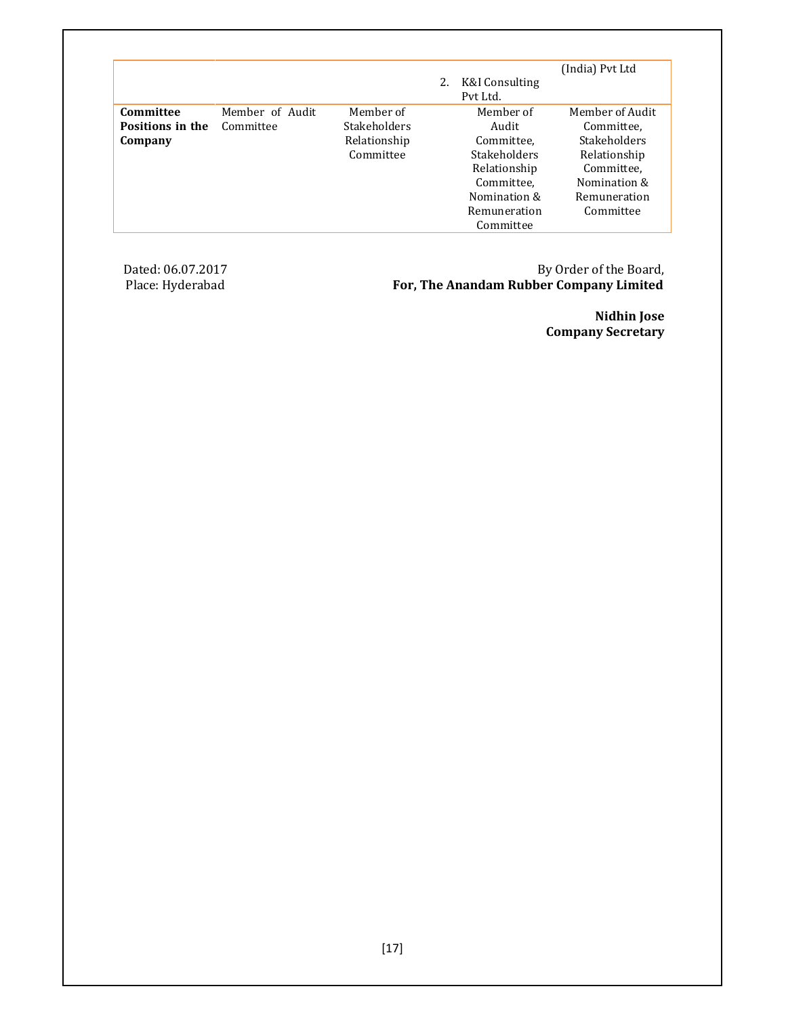|                  |                 |              |    |                            | (India) Pvt Ltd |
|------------------|-----------------|--------------|----|----------------------------|-----------------|
|                  |                 |              | 2. | K&I Consulting<br>Pvt Ltd. |                 |
|                  |                 |              |    |                            |                 |
| Committee        | Member of Audit | Member of    |    | Member of                  | Member of Audit |
| Positions in the | Committee       | Stakeholders |    | Audit                      | Committee.      |
| Company          |                 | Relationship |    | Committee,                 | Stakeholders    |
|                  |                 | Committee    |    | Stakeholders               | Relationship    |
|                  |                 |              |    | Relationship               | Committee.      |
|                  |                 |              |    | Committee.                 | Nomination &    |
|                  |                 |              |    | Nomination &               | Remuneration    |
|                  |                 |              |    | Remuneration               | Committee       |
|                  |                 |              |    | Committee                  |                 |

Dated: 06.07.2017 By Order of the Board, Place: Hyderabad **For, The Anandam Rubber Company Limited** 

 Nidhin Jose Company Secretary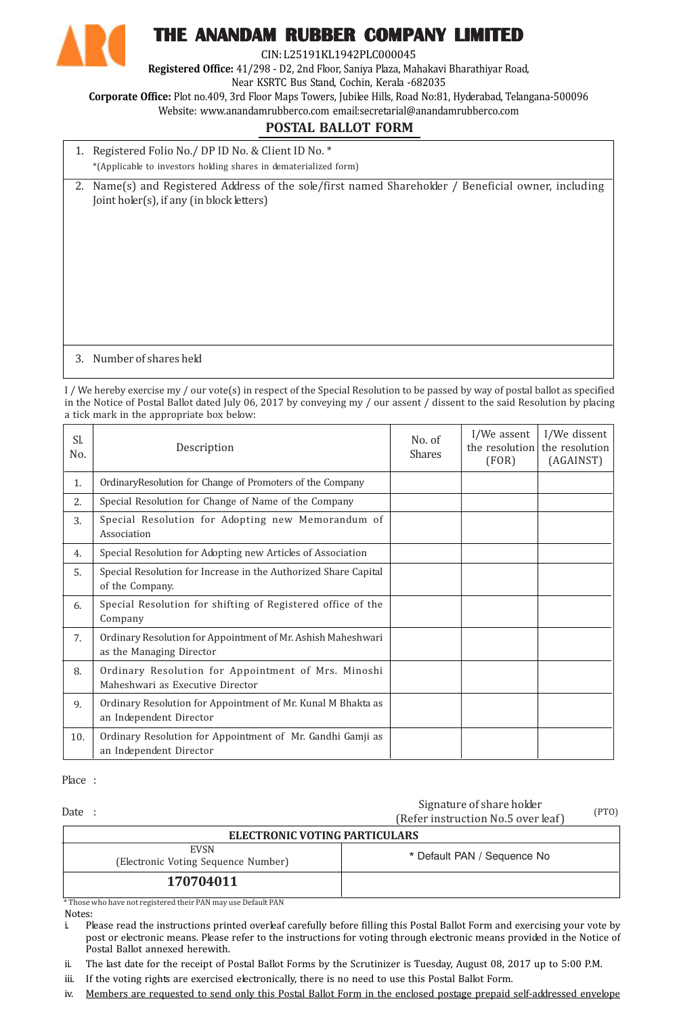

# THE ANANDAM RUBBER COMPANY LIMITED

CIN: L25191KL1942PLC000045

Registered Office: 41/298 - D2, 2nd Floor, Saniya Plaza, Mahakavi Bharathiyar Road,

Near KSRTC Bus Stand, Cochin, Kerala -682035

Corporate Office: Plot no.409, 3rd Floor Maps Towers, Jubilee Hills, Road No:81, Hyderabad, Telangana-500096

Website: www.anandamrubberco.com email:secretarial@anandamrubberco.com

# POSTAL BALLOT FORM

| 1. Registered Folio No./ DP ID No. & Client ID No. *             |
|------------------------------------------------------------------|
| *(Applicable to investors holding shares in dematerialized form) |

2. Name(s) and Registered Address of the sole/first named Shareholder / Beneficial owner, including Joint holer(s), if any (in block letters)

## 3. Number of shares held

I / We hereby exercise my / our vote(s) in respect of the Special Resolution to be passed by way of postal ballot as specified in the Notice of Postal Ballot dated July 06, 2017 by conveying my / our assent / dissent to the said Resolution by placing a tick mark in the appropriate box below:

| Sl.<br>No. | Description                                                                              | No. of<br><b>Shares</b> | I/We assent<br>the resolution<br>(FOR) | I/We dissent<br>the resolution<br>(AGAINST) |
|------------|------------------------------------------------------------------------------------------|-------------------------|----------------------------------------|---------------------------------------------|
| 1.         | OrdinaryResolution for Change of Promoters of the Company                                |                         |                                        |                                             |
| 2.         | Special Resolution for Change of Name of the Company                                     |                         |                                        |                                             |
| 3.         | Special Resolution for Adopting new Memorandum of<br>Association                         |                         |                                        |                                             |
| 4.         | Special Resolution for Adopting new Articles of Association                              |                         |                                        |                                             |
| 5.         | Special Resolution for Increase in the Authorized Share Capital<br>of the Company.       |                         |                                        |                                             |
| 6.         | Special Resolution for shifting of Registered office of the<br>Company                   |                         |                                        |                                             |
| 7.         | Ordinary Resolution for Appointment of Mr. Ashish Maheshwari<br>as the Managing Director |                         |                                        |                                             |
| 8.         | Ordinary Resolution for Appointment of Mrs. Minoshi<br>Maheshwari as Executive Director  |                         |                                        |                                             |
| 9.         | Ordinary Resolution for Appointment of Mr. Kunal M Bhakta as<br>an Independent Director  |                         |                                        |                                             |
| 10.        | Ordinary Resolution for Appointment of Mr. Gandhi Gamji as<br>an Independent Director    |                         |                                        |                                             |

Place :

Date :

Signature of share holder (Refer instruction No.5 over leaf)

(PTO)

| TRETËT IIISU UCLIOII NO.S OVET JEAT J              |                             |  |
|----------------------------------------------------|-----------------------------|--|
| ELECTRONIC VOTING PARTICULARS                      |                             |  |
| <b>EVSN</b><br>(Electronic Voting Sequence Number) | * Default PAN / Sequence No |  |
| 170704011                                          |                             |  |

Notes: \* Those who have not registered their PAN may use Default PAN

i. Please read the instructions printed overleaf carefully before filling this Postal Ballot Form and exercising your vote by post or electronic means. Please refer to the instructions for voting through electronic means provided in the Notice of Postal Ballot annexed herewith.

ii. The last date for the receipt of Postal Ballot Forms by the Scrutinizer is Tuesday, August 08, 2017 up to 5:00 P.M.

iii. If the voting rights are exercised electronically, there is no need to use this Postal Ballot Form.

iv. Members are requested to send only this Postal Ballot Form in the enclosed postage prepaid self-addressed envelope